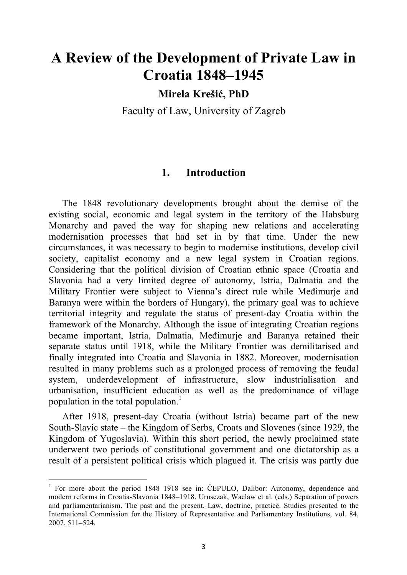# **A Review of the Development of Private Law in Croatia 1848–1945**

**Mirela Krešić, PhD**

Faculty of Law, University of Zagreb

### **1. Introduction**

The 1848 revolutionary developments brought about the demise of the existing social, economic and legal system in the territory of the Habsburg Monarchy and paved the way for shaping new relations and accelerating modernisation processes that had set in by that time. Under the new circumstances, it was necessary to begin to modernise institutions, develop civil society, capitalist economy and a new legal system in Croatian regions. Considering that the political division of Croatian ethnic space (Croatia and Slavonia had a very limited degree of autonomy, Istria, Dalmatia and the Military Frontier were subject to Vienna's direct rule while Međimurje and Baranya were within the borders of Hungary), the primary goal was to achieve territorial integrity and regulate the status of present-day Croatia within the framework of the Monarchy. Although the issue of integrating Croatian regions became important, Istria, Dalmatia, Međimurje and Baranya retained their separate status until 1918, while the Military Frontier was demilitarised and finally integrated into Croatia and Slavonia in 1882. Moreover, modernisation resulted in many problems such as a prolonged process of removing the feudal system, underdevelopment of infrastructure, slow industrialisation and urbanisation, insufficient education as well as the predominance of village population in the total population. 1

After 1918, present-day Croatia (without Istria) became part of the new South-Slavic state – the Kingdom of Serbs, Croats and Slovenes (since 1929, the Kingdom of Yugoslavia). Within this short period, the newly proclaimed state underwent two periods of constitutional government and one dictatorship as a result of a persistent political crisis which plagued it. The crisis was partly due

 $1$  For more about the period 1848–1918 see in: ČEPULO, Dalibor: Autonomy, dependence and modern reforms in Croatia-Slavonia 1848–1918. Urusczak, Waclaw et al. (eds.) Separation of powers and parliamentarianism. The past and the present. Law, doctrine, practice. Studies presented to the International Commission for the History of Representative and Parliamentary Institutions, vol. 84, 2007, 511–524.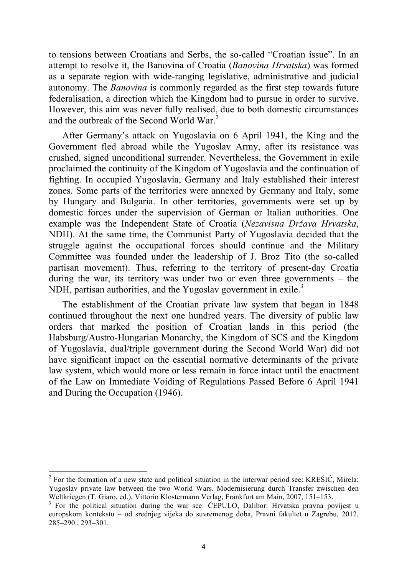to tensions between Croatians and Serbs, the so-called "Croatian issue". In an attempt to resolve it, the Banovina of Croatia (*Banovina Hrvatska*) was formed as a separate region with wide-ranging legislative, administrative and judicial autonomy. The *Banovina* is commonly regarded as the first step towards future federalisation, a direction which the Kingdom had to pursue in order to survive. However, this aim was never fully realised, due to both domestic circumstances and the outbreak of the Second World War. 2

After Germany's attack on Yugoslavia on 6 April 1941, the King and the Government fled abroad while the Yugoslav Army, after its resistance was crushed, signed unconditional surrender. Nevertheless, the Government in exile proclaimed the continuity of the Kingdom of Yugoslavia and the continuation of fighting. In occupied Yugoslavia, Germany and Italy established their interest zones. Some parts of the territories were annexed by Germany and Italy, some by Hungary and Bulgaria. In other territories, governments were set up by domestic forces under the supervision of German or Italian authorities. One example was the Independent State of Croatia (*Nezavisna Država Hrvatska*, NDH). At the same time, the Communist Party of Yugoslavia decided that the struggle against the occupational forces should continue and the Military Committee was founded under the leadership of J. Broz Tito (the so-called partisan movement). Thus, referring to the territory of present-day Croatia during the war, its territory was under two or even three governments – the NDH, partisan authorities, and the Yugoslav government in exile.<sup>3</sup>

The establishment of the Croatian private law system that began in 1848 continued throughout the next one hundred years. The diversity of public law orders that marked the position of Croatian lands in this period (the Habsburg/Austro-Hungarian Monarchy, the Kingdom of SCS and the Kingdom of Yugoslavia, dual/triple government during the Second World War) did not have significant impact on the essential normative determinants of the private law system, which would more or less remain in force intact until the enactment of the Law on Immediate Voiding of Regulations Passed Before 6 April 1941 and During the Occupation (1946).

 $2^2$  For the formation of a new state and political situation in the interwar period see: KREŠIĆ, Mirela: Yugoslav private law between the two World Wars. Modernisierung durch Transfer zwischen den Weltkriegen (T. Giaro, ed.), Vittorio Klostermann Verlag, Frankfurt am Main, 2007, 151–153.

<sup>&</sup>lt;sup>3</sup> For the political situation during the war see: ČEPULO, Dalibor: Hrvatska pravna povijest u europskom kontekstu – od srednjeg vijeka do suvremenog doba, Pravni fakultet u Zagrebu, 2012, 285–290., 293–301.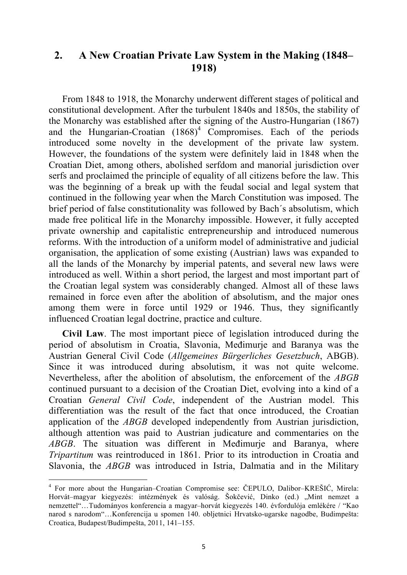# **2. A New Croatian Private Law System in the Making (1848– 1918)**

From 1848 to 1918, the Monarchy underwent different stages of political and constitutional development. After the turbulent 1840s and 1850s, the stability of the Monarchy was established after the signing of the Austro-Hungarian (1867) and the Hungarian-Croatian  $(1868)^4$  Compromises. Each of the periods introduced some novelty in the development of the private law system. However, the foundations of the system were definitely laid in 1848 when the Croatian Diet, among others, abolished serfdom and manorial jurisdiction over serfs and proclaimed the principle of equality of all citizens before the law. This was the beginning of a break up with the feudal social and legal system that continued in the following year when the March Constitution was imposed. The brief period of false constitutionality was followed by Bach´s absolutism, which made free political life in the Monarchy impossible. However, it fully accepted private ownership and capitalistic entrepreneurship and introduced numerous reforms. With the introduction of a uniform model of administrative and judicial organisation, the application of some existing (Austrian) laws was expanded to all the lands of the Monarchy by imperial patents, and several new laws were introduced as well. Within a short period, the largest and most important part of the Croatian legal system was considerably changed. Almost all of these laws remained in force even after the abolition of absolutism, and the major ones among them were in force until 1929 or 1946. Thus, they significantly influenced Croatian legal doctrine, practice and culture.

**Civil Law**. The most important piece of legislation introduced during the period of absolutism in Croatia, Slavonia, Međimurje and Baranya was the Austrian General Civil Code (*Allgemeines Bürgerliches Gesetzbuch*, ABGB). Since it was introduced during absolutism, it was not quite welcome. Nevertheless, after the abolition of absolutism, the enforcement of the *ABGB* continued pursuant to a decision of the Croatian Diet, evolving into a kind of a Croatian *General Civil Code*, independent of the Austrian model. This differentiation was the result of the fact that once introduced, the Croatian application of the *ABGB* developed independently from Austrian jurisdiction, although attention was paid to Austrian judicature and commentaries on the *ABGB*. The situation was different in Međimurje and Baranya, where *Tripartitum* was reintroduced in 1861. Prior to its introduction in Croatia and Slavonia, the *ABGB* was introduced in Istria, Dalmatia and in the Military

<sup>4</sup> For more about the Hungarian–Croatian Compromise see: ČEPULO, Dalibor–KREŠIĆ, Mirela: Horvát–magyar kiegyezés: intézmények és valóság. Šokčević, Dinko (ed.) "Mint nemzet a nemzettel"…Tudományos konferencia a magyar–horvát kiegyezés 140. évfordulója emlékére / "Kao narod s narodom"…Konferencija u spomen 140. obljetnici Hrvatsko-ugarske nagodbe, Budimpešta: Croatica, Budapest/Budimpešta, 2011, 141–155.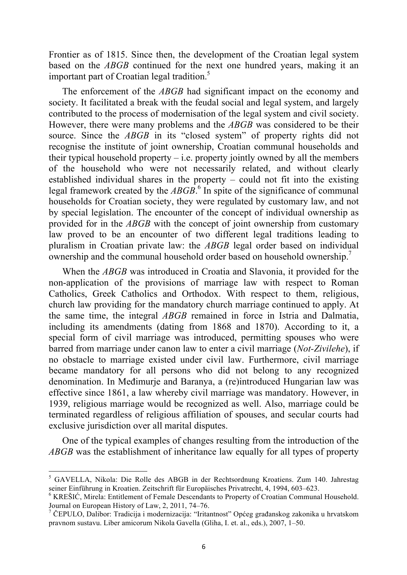Frontier as of 1815. Since then, the development of the Croatian legal system based on the *ABGB* continued for the next one hundred years, making it an important part of Croatian legal tradition. 5

The enforcement of the *ABGB* had significant impact on the economy and society. It facilitated a break with the feudal social and legal system, and largely contributed to the process of modernisation of the legal system and civil society. However, there were many problems and the *ABGB* was considered to be their source. Since the *ABGB* in its "closed system" of property rights did not recognise the institute of joint ownership, Croatian communal households and their typical household property – i.e. property jointly owned by all the members of the household who were not necessarily related, and without clearly established individual shares in the property – could not fit into the existing legal framework created by the *ABGB*. <sup>6</sup> In spite of the significance of communal households for Croatian society, they were regulated by customary law, and not by special legislation. The encounter of the concept of individual ownership as provided for in the *ABGB* with the concept of joint ownership from customary law proved to be an encounter of two different legal traditions leading to pluralism in Croatian private law: the *ABGB* legal order based on individual ownership and the communal household order based on household ownership.<sup>7</sup>

When the *ABGB* was introduced in Croatia and Slavonia, it provided for the non-application of the provisions of marriage law with respect to Roman Catholics, Greek Catholics and Orthodox. With respect to them, religious, church law providing for the mandatory church marriage continued to apply. At the same time, the integral *ABGB* remained in force in Istria and Dalmatia, including its amendments (dating from 1868 and 1870). According to it, a special form of civil marriage was introduced, permitting spouses who were barred from marriage under canon law to enter a civil marriage (*Not-Zivilehe*), if no obstacle to marriage existed under civil law. Furthermore, civil marriage became mandatory for all persons who did not belong to any recognized denomination. In Međimurje and Baranya, a (re)introduced Hungarian law was effective since 1861, a law whereby civil marriage was mandatory. However, in 1939, religious marriage would be recognized as well. Also, marriage could be terminated regardless of religious affiliation of spouses, and secular courts had exclusive jurisdiction over all marital disputes.

One of the typical examples of changes resulting from the introduction of the *ABGB* was the establishment of inheritance law equally for all types of property

 <sup>5</sup> GAVELLA, Nikola: Die Rolle des ABGB in der Rechtsordnung Kroatiens. Zum 140. Jahrestag seiner Einführung in Kroatien. Zeitschrift für Europäisches Privatrecht, 4, 1994, 603–623.

<sup>&</sup>lt;sup>6</sup> KREŠIĆ, Mirela: Entitlement of Female Descendants to Property of Croatian Communal Household. Journal on European History of Law, 2, 2011, 74–76.

 $^7$  ČEPULO, Dalibor: Tradicija i modernizacija: "Iritantnost" Općeg građanskog zakonika u hrvatskom pravnom sustavu. Liber amicorum Nikola Gavella (Gliha, I. et. al., eds.), 2007, 1–50.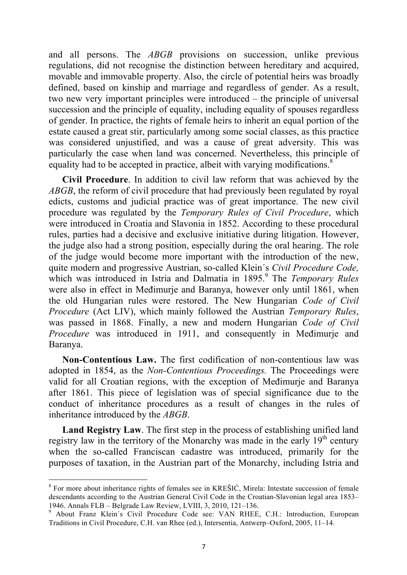and all persons. The *ABGB* provisions on succession, unlike previous regulations, did not recognise the distinction between hereditary and acquired, movable and immovable property. Also, the circle of potential heirs was broadly defined, based on kinship and marriage and regardless of gender. As a result, two new very important principles were introduced – the principle of universal succession and the principle of equality, including equality of spouses regardless of gender. In practice, the rights of female heirs to inherit an equal portion of the estate caused a great stir, particularly among some social classes, as this practice was considered unjustified, and was a cause of great adversity. This was particularly the case when land was concerned. Nevertheless, this principle of equality had to be accepted in practice, albeit with varying modifications.<sup>8</sup>

**Civil Procedure**. In addition to civil law reform that was achieved by the *ABGB*, the reform of civil procedure that had previously been regulated by royal edicts, customs and judicial practice was of great importance. The new civil procedure was regulated by the *Temporary Rules of Civil Procedure*, which were introduced in Croatia and Slavonia in 1852. According to these procedural rules, parties had a decisive and exclusive initiative during litigation. However, the judge also had a strong position, especially during the oral hearing. The role of the judge would become more important with the introduction of the new, quite modern and progressive Austrian, so-called Klein´s *Civil Procedure Code,* which was introduced in Istria and Dalmatia in 1895. <sup>9</sup> The *Temporary Rules*  were also in effect in Međimurje and Baranya, however only until 1861, when the old Hungarian rules were restored. The New Hungarian *Code of Civil Procedure* (Act LIV), which mainly followed the Austrian *Temporary Rules*, was passed in 1868. Finally, a new and modern Hungarian *Code of Civil Procedure* was introduced in 1911, and consequently in Međimurje and Baranya.

**Non-Contentious Law.** The first codification of non-contentious law was adopted in 1854, as the *Non-Contentious Proceedings.* The Proceedings were valid for all Croatian regions, with the exception of Međimurje and Baranya after 1861. This piece of legislation was of special significance due to the conduct of inheritance procedures as a result of changes in the rules of inheritance introduced by the *ABGB*.

**Land Registry Law**. The first step in the process of establishing unified land registry law in the territory of the Monarchy was made in the early  $19<sup>th</sup>$  century when the so-called Franciscan cadastre was introduced, primarily for the purposes of taxation, in the Austrian part of the Monarchy, including Istria and

<sup>&</sup>lt;sup>8</sup> For more about inheritance rights of females see in KREŠIĆ, Mirela: Intestate succession of female descendants according to the Austrian General Civil Code in the Croatian-Slavonian legal area 1853–1946. Annals FLB – Belgrade Law Review, LVIII, 3, 2010, 121–136.

<sup>&</sup>lt;sup>9</sup> About Franz Klein's Civil Procedure Code see: VAN RHEE, C.H.: Introduction, European Traditions in Civil Procedure, C.H. van Rhee (ed.), Intersentia, Antwerp–Oxford, 2005, 11–14.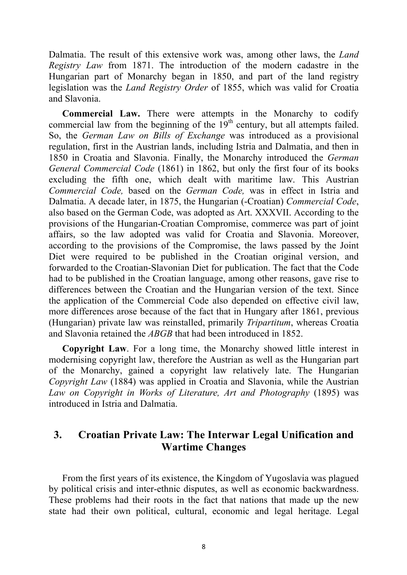Dalmatia. The result of this extensive work was, among other laws, the *Land Registry Law* from 1871. The introduction of the modern cadastre in the Hungarian part of Monarchy began in 1850, and part of the land registry legislation was the *Land Registry Order* of 1855, which was valid for Croatia and Slavonia.

**Commercial Law.** There were attempts in the Monarchy to codify commercial law from the beginning of the  $19<sup>th</sup>$  century, but all attempts failed. So, the *German Law on Bills of Exchange* was introduced as a provisional regulation, first in the Austrian lands, including Istria and Dalmatia, and then in 1850 in Croatia and Slavonia. Finally, the Monarchy introduced the *German General Commercial Code* (1861) in 1862, but only the first four of its books excluding the fifth one, which dealt with maritime law. This Austrian *Commercial Code,* based on the *German Code,* was in effect in Istria and Dalmatia. A decade later, in 1875, the Hungarian (-Croatian) *Commercial Code*, also based on the German Code, was adopted as Art. XXXVII. According to the provisions of the Hungarian-Croatian Compromise, commerce was part of joint affairs, so the law adopted was valid for Croatia and Slavonia. Moreover, according to the provisions of the Compromise, the laws passed by the Joint Diet were required to be published in the Croatian original version, and forwarded to the Croatian-Slavonian Diet for publication. The fact that the Code had to be published in the Croatian language, among other reasons, gave rise to differences between the Croatian and the Hungarian version of the text. Since the application of the Commercial Code also depended on effective civil law, more differences arose because of the fact that in Hungary after 1861, previous (Hungarian) private law was reinstalled, primarily *Tripartitum*, whereas Croatia and Slavonia retained the *ABGB* that had been introduced in 1852.

**Copyright Law**. For a long time, the Monarchy showed little interest in modernising copyright law, therefore the Austrian as well as the Hungarian part of the Monarchy, gained a copyright law relatively late. The Hungarian *Copyright Law* (1884) was applied in Croatia and Slavonia, while the Austrian *Law on Copyright in Works of Literature, Art and Photography* (1895) was introduced in Istria and Dalmatia.

## **3. Croatian Private Law: The Interwar Legal Unification and Wartime Changes**

From the first years of its existence, the Kingdom of Yugoslavia was plagued by political crisis and inter-ethnic disputes, as well as economic backwardness. These problems had their roots in the fact that nations that made up the new state had their own political, cultural, economic and legal heritage. Legal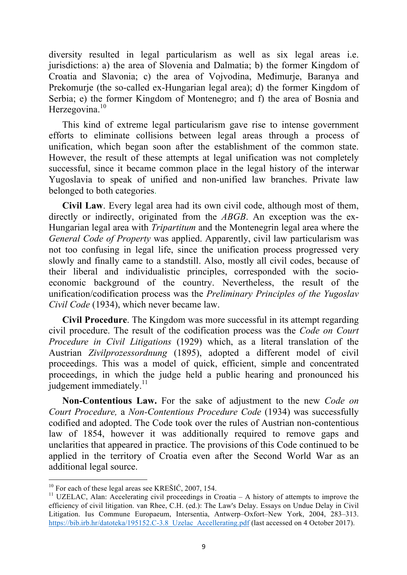diversity resulted in legal particularism as well as six legal areas i.e. jurisdictions: a) the area of Slovenia and Dalmatia; b) the former Kingdom of Croatia and Slavonia; c) the area of Vojvodina, Međimurje, Baranya and Prekomurje (the so-called ex-Hungarian legal area); d) the former Kingdom of Serbia; e) the former Kingdom of Montenegro; and f) the area of Bosnia and Herzegovina. $10$ 

This kind of extreme legal particularism gave rise to intense government efforts to eliminate collisions between legal areas through a process of unification, which began soon after the establishment of the common state. However, the result of these attempts at legal unification was not completely successful, since it became common place in the legal history of the interwar Yugoslavia to speak of unified and non-unified law branches. Private law belonged to both categories.

**Civil Law**. Every legal area had its own civil code, although most of them, directly or indirectly, originated from the *ABGB*. An exception was the ex-Hungarian legal area with *Tripartitum* and the Montenegrin legal area where the *General Code of Property* was applied. Apparently, civil law particularism was not too confusing in legal life, since the unification process progressed very slowly and finally came to a standstill. Also, mostly all civil codes, because of their liberal and individualistic principles, corresponded with the socioeconomic background of the country. Nevertheless, the result of the unification/codification process was the *Preliminary Principles of the Yugoslav Civil Code* (1934), which never became law.

**Civil Procedure**. The Kingdom was more successful in its attempt regarding civil procedure. The result of the codification process was the *Code on Court Procedure in Civil Litigations* (1929) which, as a literal translation of the Austrian *Zivilprozessordnung* (1895), adopted a different model of civil proceedings. This was a model of quick, efficient, simple and concentrated proceedings, in which the judge held a public hearing and pronounced his judgement immediately. $11$ 

**Non-Contentious Law.** For the sake of adjustment to the new *Code on Court Procedure,* a *Non-Contentious Procedure Code* (1934) was successfully codified and adopted. The Code took over the rules of Austrian non-contentious law of 1854, however it was additionally required to remove gaps and unclarities that appeared in practice. The provisions of this Code continued to be applied in the territory of Croatia even after the Second World War as an additional legal source.

 $10$  For each of these legal areas see KREŠIĆ, 2007, 154.

<sup>&</sup>lt;sup>11</sup> UZELAC, Alan: Accelerating civil proceedings in Croatia – A history of attempts to improve the efficiency of civil litigation. van Rhee, C.H. (ed.): The Law's Delay. Essays on Undue Delay in Civil Litigation. Ius Commune Europaeum, Intersentia, Antwerp–Oxfort–New York, 2004, 283–313. https://bib.irb.hr/datoteka/195152.C-3.8\_Uzelac\_Accellerating.pdf (last accessed on 4 October 2017).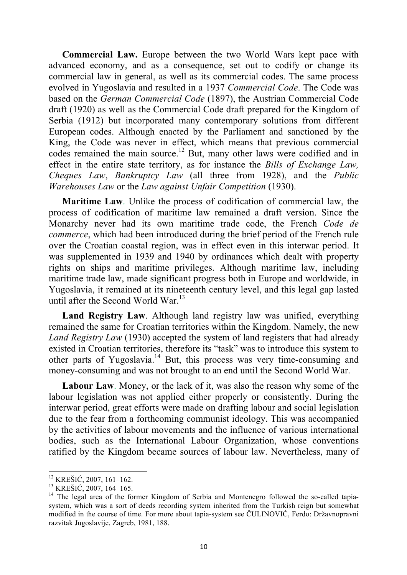**Commercial Law.** Europe between the two World Wars kept pace with advanced economy, and as a consequence, set out to codify or change its commercial law in general, as well as its commercial codes. The same process evolved in Yugoslavia and resulted in a 1937 *Commercial Code*. The Code was based on the *German Commercial Code* (1897), the Austrian Commercial Code draft (1920) as well as the Commercial Code draft prepared for the Kingdom of Serbia (1912) but incorporated many contemporary solutions from different European codes. Although enacted by the Parliament and sanctioned by the King, the Code was never in effect, which means that previous commercial codes remained the main source.<sup>12</sup> But, many other laws were codified and in effect in the entire state territory, as for instance the *Bills of Exchange Law, Cheques Law*, *Bankruptcy Law* (all three from 1928), and the *Public Warehouses Law* or the *Law against Unfair Competition* (1930).

**Maritime Law**. Unlike the process of codification of commercial law, the process of codification of maritime law remained a draft version. Since the Monarchy never had its own maritime trade code, the French *Code de commerce*, which had been introduced during the brief period of the French rule over the Croatian coastal region, was in effect even in this interwar period. It was supplemented in 1939 and 1940 by ordinances which dealt with property rights on ships and maritime privileges. Although maritime law, including maritime trade law, made significant progress both in Europe and worldwide, in Yugoslavia, it remained at its nineteenth century level, and this legal gap lasted until after the Second World War.<sup>13</sup>

**Land Registry Law**. Although land registry law was unified, everything remained the same for Croatian territories within the Kingdom. Namely, the new *Land Registry Law* (1930) accepted the system of land registers that had already existed in Croatian territories, therefore its "task" was to introduce this system to other parts of Yugoslavia.14 But, this process was very time-consuming and money-consuming and was not brought to an end until the Second World War.

**Labour Law**. Money, or the lack of it, was also the reason why some of the labour legislation was not applied either properly or consistently. During the interwar period, great efforts were made on drafting labour and social legislation due to the fear from a forthcoming communist ideology. This was accompanied by the activities of labour movements and the influence of various international bodies, such as the International Labour Organization, whose conventions ratified by the Kingdom became sources of labour law. Nevertheless, many of

<sup>&</sup>lt;sup>12</sup> KREŠIĆ, 2007, 161–162.<br><sup>13</sup> KREŠIĆ, 2007, 164–165.<br><sup>14</sup> The legal area of the former Kingdom of Serbia and Montenegro followed the so-called tapiasystem, which was a sort of deeds recording system inherited from the Turkish reign but somewhat modified in the course of time. For more about tapia-system see ČULINOVIĆ, Ferdo: Državnopravni razvitak Jugoslavije, Zagreb, 1981, 188.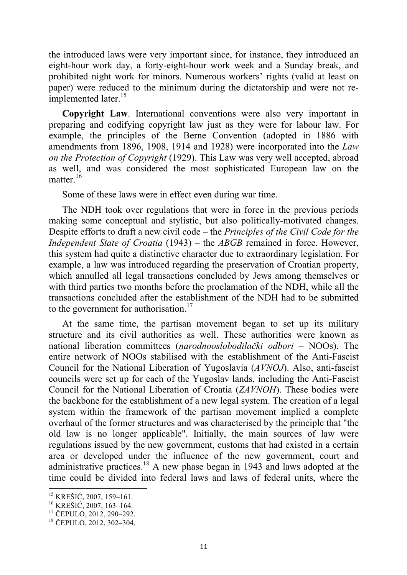the introduced laws were very important since, for instance, they introduced an eight-hour work day, a forty-eight-hour work week and a Sunday break, and prohibited night work for minors. Numerous workers' rights (valid at least on paper) were reduced to the minimum during the dictatorship and were not reimplemented later.<sup>15</sup>

**Copyright Law**. International conventions were also very important in preparing and codifying copyright law just as they were for labour law. For example, the principles of the Berne Convention (adopted in 1886 with amendments from 1896, 1908, 1914 and 1928) were incorporated into the *Law on the Protection of Copyright* (1929). This Law was very well accepted, abroad as well, and was considered the most sophisticated European law on the matter $16$ 

Some of these laws were in effect even during war time.

The NDH took over regulations that were in force in the previous periods making some conceptual and stylistic, but also politically-motivated changes. Despite efforts to draft a new civil code – the *Principles of the Civil Code for the Independent State of Croatia* (1943) – the *ABGB* remained in force. However, this system had quite a distinctive character due to extraordinary legislation. For example, a law was introduced regarding the preservation of Croatian property, which annulled all legal transactions concluded by Jews among themselves or with third parties two months before the proclamation of the NDH, while all the transactions concluded after the establishment of the NDH had to be submitted to the government for authorisation.<sup>17</sup>

At the same time, the partisan movement began to set up its military structure and its civil authorities as well. These authorities were known as national liberation committees (*narodnooslobodilački odbori* – NOOs). The entire network of NOOs stabilised with the establishment of the Anti-Fascist Council for the National Liberation of Yugoslavia (*AVNOJ*). Also, anti-fascist councils were set up for each of the Yugoslav lands, including the Anti-Fascist Council for the National Liberation of Croatia (*ZAVNOH*). These bodies were the backbone for the establishment of a new legal system. The creation of a legal system within the framework of the partisan movement implied a complete overhaul of the former structures and was characterised by the principle that "the old law is no longer applicable". Initially, the main sources of law were regulations issued by the new government, customs that had existed in a certain area or developed under the influence of the new government, court and administrative practices.18 A new phase began in 1943 and laws adopted at the time could be divided into federal laws and laws of federal units, where the

<sup>&</sup>lt;sup>15</sup> KREŠIĆ, 2007, 159–161.<br><sup>16</sup> KREŠIĆ, 2007, 163–164.<br><sup>17</sup> ČEPULO, 2012, 290–292.

<sup>18</sup> ČEPULO, 2012, 302–304.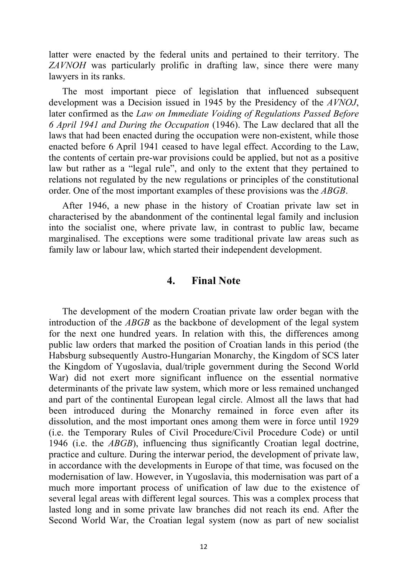latter were enacted by the federal units and pertained to their territory. The *ZAVNOH* was particularly prolific in drafting law, since there were many lawyers in its ranks.

The most important piece of legislation that influenced subsequent development was a Decision issued in 1945 by the Presidency of the *AVNOJ*, later confirmed as the *Law on Immediate Voiding of Regulations Passed Before 6 April 1941 and During the Occupation* (1946). The Law declared that all the laws that had been enacted during the occupation were non-existent, while those enacted before 6 April 1941 ceased to have legal effect. According to the Law, the contents of certain pre-war provisions could be applied, but not as a positive law but rather as a "legal rule", and only to the extent that they pertained to relations not regulated by the new regulations or principles of the constitutional order. One of the most important examples of these provisions was the *ABGB*.

After 1946, a new phase in the history of Croatian private law set in characterised by the abandonment of the continental legal family and inclusion into the socialist one, where private law, in contrast to public law, became marginalised. The exceptions were some traditional private law areas such as family law or labour law, which started their independent development.

#### **4. Final Note**

The development of the modern Croatian private law order began with the introduction of the *ABGB* as the backbone of development of the legal system for the next one hundred years. In relation with this, the differences among public law orders that marked the position of Croatian lands in this period (the Habsburg subsequently Austro-Hungarian Monarchy, the Kingdom of SCS later the Kingdom of Yugoslavia, dual/triple government during the Second World War) did not exert more significant influence on the essential normative determinants of the private law system, which more or less remained unchanged and part of the continental European legal circle. Almost all the laws that had been introduced during the Monarchy remained in force even after its dissolution, and the most important ones among them were in force until 1929 (i.e. the Temporary Rules of Civil Procedure/Civil Procedure Code) or until 1946 (i.e. the *ABGB*), influencing thus significantly Croatian legal doctrine, practice and culture. During the interwar period, the development of private law, in accordance with the developments in Europe of that time, was focused on the modernisation of law. However, in Yugoslavia, this modernisation was part of a much more important process of unification of law due to the existence of several legal areas with different legal sources. This was a complex process that lasted long and in some private law branches did not reach its end. After the Second World War, the Croatian legal system (now as part of new socialist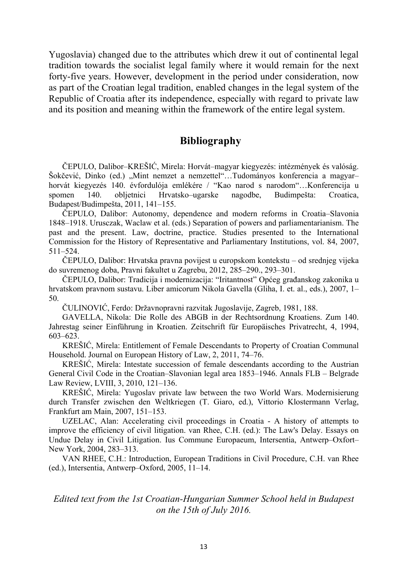Yugoslavia) changed due to the attributes which drew it out of continental legal tradition towards the socialist legal family where it would remain for the next forty-five years. However, development in the period under consideration, now as part of the Croatian legal tradition, enabled changes in the legal system of the Republic of Croatia after its independence, especially with regard to private law and its position and meaning within the framework of the entire legal system.

#### **Bibliography**

ČEPULO, Dalibor–KREŠIĆ, Mirela: Horvát–magyar kiegyezés: intézmények és valóság. Šokčević, Dinko (ed.) "Mint nemzet a nemzettel"…Tudományos konferencia a magyar– horvát kiegyezés 140. évfordulója emlékére / "Kao narod s narodom"...Konferencija u spomen 140. obljetnici Hrvatsko–ugarske nagodbe, Budimpešta: Croatica, Budapest/Budimpešta, 2011, 141–155.

ČEPULO, Dalibor: Autonomy, dependence and modern reforms in Croatia–Slavonia 1848–1918. Urusczak, Waclaw et al. (eds.) Separation of powers and parliamentarianism. The past and the present. Law, doctrine, practice. Studies presented to the International Commission for the History of Representative and Parliamentary Institutions, vol. 84, 2007, 511–524.

ČEPULO, Dalibor: Hrvatska pravna povijest u europskom kontekstu – od srednjeg vijeka do suvremenog doba, Pravni fakultet u Zagrebu, 2012, 285–290., 293–301.

ČEPULO, Dalibor: Tradicija i modernizacija: "Iritantnost" Općeg građanskog zakonika u hrvatskom pravnom sustavu. Liber amicorum Nikola Gavella (Gliha, I. et. al., eds.), 2007, 1– 50.

ČULINOVIĆ, Ferdo: Državnopravni razvitak Jugoslavije, Zagreb, 1981, 188.

GAVELLA, Nikola: Die Rolle des ABGB in der Rechtsordnung Kroatiens. Zum 140. Jahrestag seiner Einführung in Kroatien. Zeitschrift für Europäisches Privatrecht, 4, 1994, 603–623.

KREŠIĆ, Mirela: Entitlement of Female Descendants to Property of Croatian Communal Household. Journal on European History of Law, 2, 2011, 74–76.

KREŠIĆ, Mirela: Intestate succession of female descendants according to the Austrian General Civil Code in the Croatian–Slavonian legal area 1853–1946. Annals FLB – Belgrade Law Review, LVIII, 3, 2010, 121–136.

KREŠIĆ, Mirela: Yugoslav private law between the two World Wars. Modernisierung durch Transfer zwischen den Weltkriegen (T. Giaro, ed.), Vittorio Klostermann Verlag, Frankfurt am Main, 2007, 151–153.

UZELAC, Alan: Accelerating civil proceedings in Croatia - A history of attempts to improve the efficiency of civil litigation. van Rhee, C.H. (ed.): The Law's Delay. Essays on Undue Delay in Civil Litigation. Ius Commune Europaeum, Intersentia, Antwerp–Oxfort– New York, 2004, 283–313.

VAN RHEE, C.H.: Introduction, European Traditions in Civil Procedure, C.H. van Rhee (ed.), Intersentia, Antwerp–Oxford, 2005, 11–14.

*Edited text from the 1st Croatian-Hungarian Summer School held in Budapest on the 15th of July 2016.*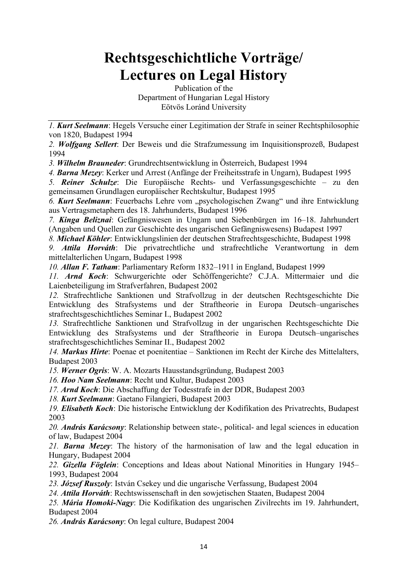# **Rechtsgeschichtliche Vorträge/ Lectures on Legal History**

Publication of the Department of Hungarian Legal History Eötvös Loránd University

*1. Kurt Seelmann*: Hegels Versuche einer Legitimation der Strafe in seiner Rechtsphilosophie von 1820, Budapest 1994

*2. Wolfgang Sellert*: Der Beweis und die Strafzumessung im Inquisitionsprozeß, Budapest 1994

*3. Wilhelm Brauneder*: Grundrechtsentwicklung in Österreich, Budapest 1994

*4. Barna Mezey*: Kerker und Arrest (Anfänge der Freiheitsstrafe in Ungarn), Budapest 1995

*5. Reiner Schulze*: Die Europäische Rechts- und Verfassungsgeschichte – zu den gemeinsamen Grundlagen europäischer Rechtskultur, Budapest 1995

*6. Kurt Seelmann*: Feuerbachs Lehre vom "psychologischen Zwang" und ihre Entwicklung aus Vertragsmetaphern des 18. Jahrhunderts, Budapest 1996

*7. Kinga Beliznai*: Gefängniswesen in Ungarn und Siebenbürgen im 16–18. Jahrhundert (Angaben und Quellen zur Geschichte des ungarischen Gefängniswesens) Budapest 1997

*8. Michael Köhler*: Entwicklungslinien der deutschen Strafrechtsgeschichte, Budapest 1998

*9. Attila Horváth*: Die privatrechtliche und strafrechtliche Verantwortung in dem mittelalterlichen Ungarn, Budapest 1998

*10. Allan F. Tatham*: Parliamentary Reform 1832–1911 in England, Budapest 1999

*11. Arnd Koch*: Schwurgerichte oder Schöffengerichte? C.J.A. Mittermaier und die Laienbeteiligung im Strafverfahren, Budapest 2002

*12.* Strafrechtliche Sanktionen und Strafvollzug in der deutschen Rechtsgeschichte Die Entwicklung des Strafsystems und der Straftheorie in Europa Deutsch–ungarisches strafrechtsgeschichtliches Seminar I., Budapest 2002

*13.* Strafrechtliche Sanktionen und Strafvollzug in der ungarischen Rechtsgeschichte Die Entwicklung des Strafsystems und der Straftheorie in Europa Deutsch–ungarisches strafrechtsgeschichtliches Seminar II., Budapest 2002

*14. Markus Hirte*: Poenae et poenitentiae – Sanktionen im Recht der Kirche des Mittelalters, Budapest 2003

*15. Werner Ogris*: W. A. Mozarts Hausstandsgründung, Budapest 2003

*16. Hoo Nam Seelmann*: Recht und Kultur, Budapest 2003

*17. Arnd Koch*: Die Abschaffung der Todesstrafe in der DDR, Budapest 2003

*18. Kurt Seelmann*: Gaetano Filangieri, Budapest 2003

*19. Elisabeth Koch*: Die historische Entwicklung der Kodifikation des Privatrechts, Budapest 2003

*20. András Karácsony*: Relationship between state-, political- and legal sciences in education of law, Budapest 2004

*21. Barna Mezey*: The history of the harmonisation of law and the legal education in Hungary, Budapest 2004

*22. Gizella Föglein*: Conceptions and Ideas about National Minorities in Hungary 1945– 1993, Budapest 2004

*23. József Ruszoly*: István Csekey und die ungarische Verfassung, Budapest 2004

*24. Attila Horváth*: Rechtswissenschaft in den sowjetischen Staaten, Budapest 2004

*25. Mária Homoki-Nagy*: Die Kodifikation des ungarischen Zivilrechts im 19. Jahrhundert, Budapest 2004

*26. András Karácsony*: On legal culture, Budapest 2004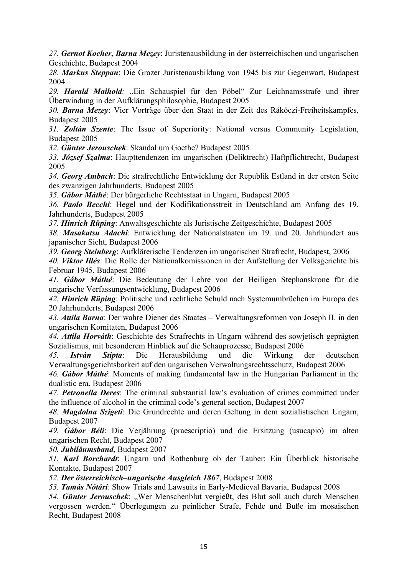*27. Gernot Kocher, Barna Mezey*: Juristenausbildung in der österreichischen und ungarischen Geschichte, Budapest 2004

*28. Markus Steppan*: Die Grazer Juristenausbildung von 1945 bis zur Gegenwart, Budapest 2004

29. Harald Maihold: "Ein Schauspiel für den Pöbel" Zur Leichnamsstrafe und ihrer Überwindung in der Aufklärungsphilosophie, Budapest 2005

*30. Barna Mezey*: Vier Vorträge über den Staat in der Zeit des Rákóczi-Freiheitskampfes, Budapest 2005

*31. Zoltán Szente*: The Issue of Superiority: National versus Community Legislation, Budapest 2005

*32. Günter Jerouschek*: Skandal um Goethe? Budapest 2005

*33. József Szalma*: Haupttendenzen im ungarischen (Deliktrecht) Haftpflichtrecht, Budapest 2005

*34. Georg Ambach*: Die strafrechtliche Entwicklung der Republik Estland in der ersten Seite des zwanzigen Jahrhunderts, Budapest 2005

*35. Gábor Máthé*: Der bürgerliche Rechtsstaat in Ungarn, Budapest 2005

*36. Paolo Becchi*: Hegel und der Kodifikationsstreit in Deutschland am Anfang des 19. Jahrhunderts, Budapest 2005

*37. Hinrich Rüping*: Anwaltsgeschichte als Juristische Zeitgeschichte, Budapest 2005

*38. Masakatsu Adachi*: Entwicklung der Nationalstaaten im 19. und 20. Jahrhundert aus japanischer Sicht, Budapest 2006

*39. Georg Steinberg*: Aufklärerische Tendenzen im ungarischen Strafrecht, Budapest, 2006

*40. Viktor Illés*: Die Rolle der Nationalkomissionen in der Aufstellung der Volksgerichte bis Februar 1945, Budapest 2006

*41. Gábor Máthé*: Die Bedeutung der Lehre von der Heiligen Stephanskrone für die ungarische Verfassungsentwicklung, Budapest 2006

*42. Hinrich Rüping*: Politische und rechtliche Schuld nach Systemumbrüchen im Europa des 20 Jahrhunderts, Budapest 2006

*43. Attila Barna*: Der wahre Diener des Staates – Verwaltungsreformen von Joseph II. in den ungarischen Komitaten, Budapest 2006

*44. Attila Horváth*: Geschichte des Strafrechts in Ungarn während des sowjetisch geprägten Sozialismus, mit besonderem Hinblick auf die Schauprozesse, Budapest 2006

*45. István Stipta*: Die Herausbildung und die Wirkung der deutschen Verwaltungsgerichtsbarkeit auf den ungarischen Verwaltungsrechtsschutz, Budapest 2006

*46. Gábor Máthé*: Moments of making fundamental law in the Hungarian Parliament in the dualistic era, Budapest 2006

*47. Petronella Deres*: The criminal substantial law's evaluation of crimes committed under the influence of alcohol in the criminal code's general section, Budapest 2007

*48. Magdolna Szigeti*: Die Grundrechte und deren Geltung in dem sozialistischen Ungarn, Budapest 2007

*49. Gábor Béli*: Die Verjährung (praescriptio) und die Ersitzung (usucapio) im alten ungarischen Recht, Budapest 2007

*50. Jubiläumsband,* Budapest 2007

*51. Karl Borchardt*: Ungarn und Rothenburg ob der Tauber: Ein Überblick historische Kontakte, Budapest 2007

*52. Der österreichisch–ungarische Ausgleich 1867*, Budapest 2008

*53. Tamás Nótári*: Show Trials and Lawsuits in Early-Medieval Bavaria, Budapest 2008

54. **Günter Jerouschek**: "Wer Menschenblut vergießt, des Blut soll auch durch Menschen vergossen werden." Überlegungen zu peinlicher Strafe, Fehde und Buße im mosaischen Recht, Budapest 2008